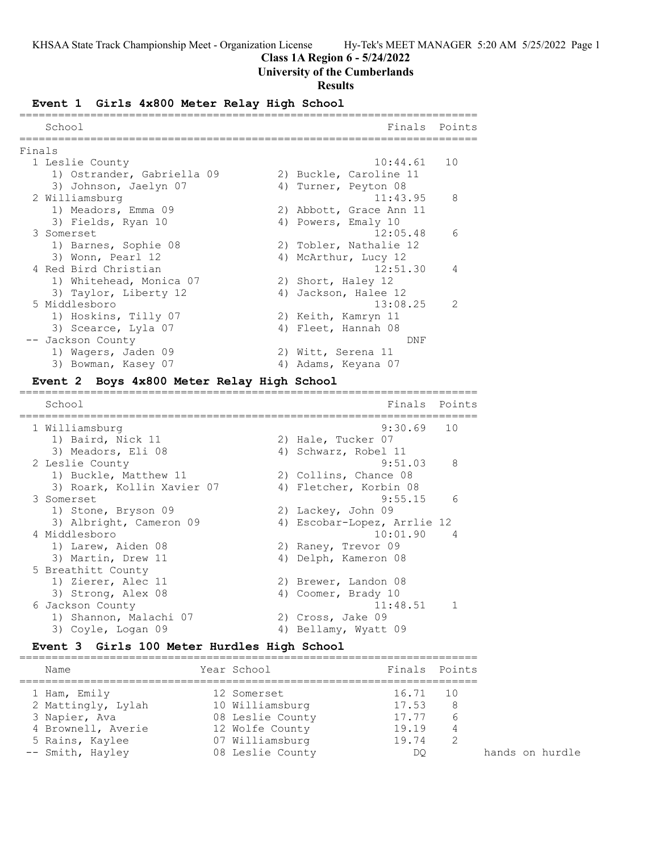# **Class 1A Region 6 - 5/24/2022**

# **University of the Cumberlands**

### **Results**

# **Event 1 Girls 4x800 Meter Relay High School**

| School                     |                         | Finals Points  |
|----------------------------|-------------------------|----------------|
| Finals                     |                         |                |
|                            |                         |                |
| 1 Leslie County            | $10:44.61$ 10           |                |
| 1) Ostrander, Gabriella 09 | 2) Buckle, Caroline 11  |                |
| 3) Johnson, Jaelyn 07      | 4) Turner, Peyton 08    |                |
| 2 Williamsburg             | 11:43.95                | 8              |
| 1) Meadors, Emma 09        | 2) Abbott, Grace Ann 11 |                |
| 3) Fields, Ryan 10         | 4) Powers, Emaly 10     |                |
| 3 Somerset                 | 12:05.48                | 6              |
| 1) Barnes, Sophie 08       | 2) Tobler, Nathalie 12  |                |
| 3) Wonn, Pearl 12          | 4) McArthur, Lucy 12    |                |
| 4 Red Bird Christian       | 12:51.30                | $\overline{4}$ |
| 1) Whitehead, Monica 07    | 2) Short, Haley 12      |                |
| 3) Taylor, Liberty 12      | 4) Jackson, Halee 12    |                |
| 5 Middlesboro              | 13:08.25                | $\overline{2}$ |
| 1) Hoskins, Tilly 07       | 2) Keith, Kamryn 11     |                |
| 3) Scearce, Lyla 07        | 4) Fleet, Hannah 08     |                |
| -- Jackson County          | DNF                     |                |
| 1) Wagers, Jaden 09        | 2) Witt, Serena 11      |                |
| 3) Bowman, Kasey 07        | 4) Adams, Keyana 07     |                |

### **Event 2 Boys 4x800 Meter Relay High School** =======================================================================

| School                     | Finals                      | Points |
|----------------------------|-----------------------------|--------|
| 1 Williamsburg             | 9:30.69                     | 10     |
| 1) Baird, Nick 11          | 2) Hale, Tucker 07          |        |
| 3) Meadors, Eli 08         | 4) Schwarz, Robel 11        |        |
| 2 Leslie County            | 9:51.03                     | 8      |
| 1) Buckle, Matthew 11      | 2) Collins, Chance 08       |        |
| 3) Roark, Kollin Xavier 07 | 4) Fletcher, Korbin 08      |        |
| 3 Somerset                 | 9:55.15                     | 6      |
| 1) Stone, Bryson 09        | 2) Lackey, John 09          |        |
| 3) Albright, Cameron 09    | 4) Escobar-Lopez, Arrlie 12 |        |
| 4 Middlesboro              | 10:01.90                    | 4      |
| 1) Larew, Aiden 08         | 2) Raney, Trevor 09         |        |
| 3) Martin, Drew 11         | 4) Delph, Kameron 08        |        |
| 5 Breathitt County         |                             |        |
| 1) Zierer, Alec 11         | 2) Brewer, Landon 08        |        |
| 3) Strong, Alex 08         | 4) Coomer, Brady 10         |        |
| 6 Jackson County           | 11:48.51                    |        |
| 1) Shannon, Malachi 07     | 2) Cross, Jake 09           |        |
| 3) Coyle, Logan 09         | 4) Bellamy, Wyatt 09        |        |

#### **Event 3 Girls 100 Meter Hurdles High School** =======================================================================

| Name               | Year School      |       | Finals Points |
|--------------------|------------------|-------|---------------|
| 1 Ham, Emily       | 12 Somerset      | 16.71 | - 10          |
| 2 Mattingly, Lylah | 10 Williamsburg  | 17.53 | 8             |
| 3 Napier, Ava      | 08 Leslie County | 17.77 | 6             |
| 4 Brownell, Averie | 12 Wolfe County  | 19.19 |               |
| 5 Rains, Kaylee    | 07 Williamsburg  | 19.74 | 2             |
| -- Smith, Hayley   | 08 Leslie County | DO    |               |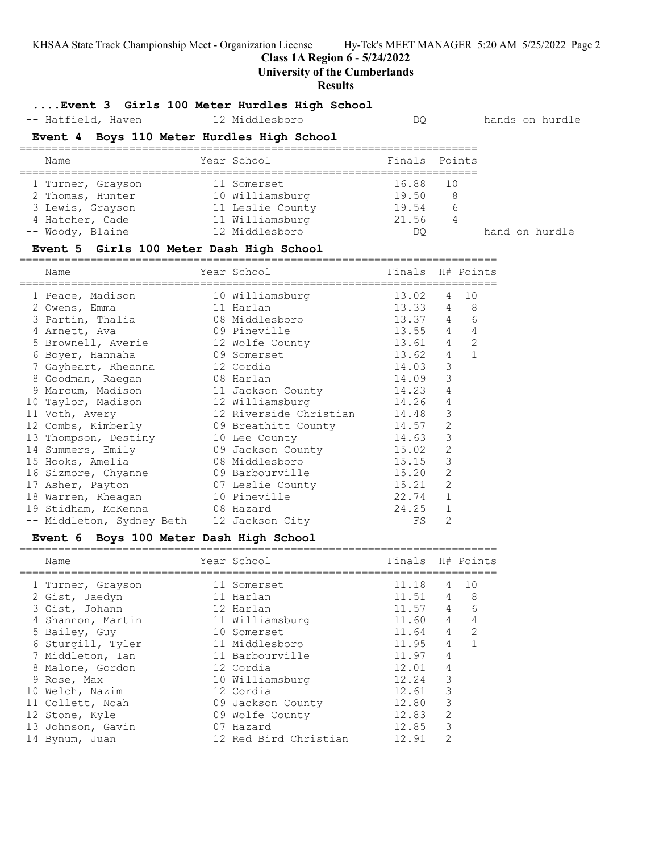**Class 1A Region 6 - 5/24/2022**

### **University of the Cumberlands**

### **Results**

### **....Event 3 Girls 100 Meter Hurdles High School**

-- Hatfield, Haven 12 Middlesboro DQ hands on hurdle

### **Event 4 Boys 110 Meter Hurdles High School**

| Name              | Year School      |          | Finals Points |                |  |
|-------------------|------------------|----------|---------------|----------------|--|
| 1 Turner, Grayson | 11 Somerset      | 16.88 10 |               |                |  |
| 2 Thomas, Hunter  | 10 Williamsburg  | 19.50    | -8            |                |  |
| 3 Lewis, Grayson  | 11 Leslie County | 19.54    | 6             |                |  |
| 4 Hatcher, Cade   | 11 Williamsburg  | 21.56    | 4             |                |  |
| -- Woody, Blaine  | 12 Middlesboro   | DO       |               | hand on hurdle |  |
|                   |                  |          |               |                |  |

### **Event 5 Girls 100 Meter Dash High School**

========================================================================== Name The Year School The Finals H# Points ========================================================================== 1 Peace, Madison 10 Williamsburg 13.02 4 10 2 Owens, Emma 11 Harlan 13.33 4 8 3 Partin, Thalia 08 Middlesboro 13.37 4 6 4 Arnett, Ava 09 Pineville 13.55 4 4 5 Brownell, Averie 12 Wolfe County 13.61 4 2 6 Boyer, Hannaha 09 Somerset 13.62 4 1 7 Gayheart, Rheanna 12 Cordia 14.03 3 8 Goodman, Raegan 08 Harlan 14.09 3 9 Marcum, Madison 11 Jackson County 14.23 4 10 Taylor, Madison 12 Williamsburg 14.26 4 11 Voth, Avery 12 Riverside Christian 14.48 3 12 Combs, Kimberly 09 Breathitt County 14.57 2 13 Thompson, Destiny 10 Lee County 14.63 3 14 Summers, Emily 09 Jackson County 15.02 2 15 Hooks, Amelia 08 Middlesboro 15.15 3 16 Sizmore, Chyanne 09 Barbourville 15.20 2 17 Asher, Payton 07 Leslie County 15.21 2 18 Warren, Rheagan 10 Pineville 22.74 1 19 Stidham, McKenna 08 Hazard 24.25 1 -- Middleton, Sydney Beth 12 Jackson City FS 2

### **Event 6 Boys 100 Meter Dash High School**

| Name              | Year School           | Finals H# Points |                                                                                                                                                                                                                                                                                                                                                                                                             |    |
|-------------------|-----------------------|------------------|-------------------------------------------------------------------------------------------------------------------------------------------------------------------------------------------------------------------------------------------------------------------------------------------------------------------------------------------------------------------------------------------------------------|----|
| 1 Turner, Grayson | 11 Somerset           | 11.18            | 4                                                                                                                                                                                                                                                                                                                                                                                                           | 10 |
| 2 Gist, Jaedyn    | 11 Harlan             | 11.51            | 4                                                                                                                                                                                                                                                                                                                                                                                                           | 8  |
| 3 Gist, Johann    | 12 Harlan             | 11.57            | 4                                                                                                                                                                                                                                                                                                                                                                                                           | 6  |
| 4 Shannon, Martin | 11 Williamsburg       | 11.60            | 4                                                                                                                                                                                                                                                                                                                                                                                                           | 4  |
| 5 Bailey, Guy     | 10 Somerset           | 11.64            | $\overline{4}$                                                                                                                                                                                                                                                                                                                                                                                              | 2  |
| 6 Sturgill, Tyler | 11 Middlesboro        | 11.95            | 4                                                                                                                                                                                                                                                                                                                                                                                                           |    |
| 7 Middleton, Ian  | 11 Barbourville       | 11.97            | 4                                                                                                                                                                                                                                                                                                                                                                                                           |    |
| 8 Malone, Gordon  | 12 Cordia             | 12.01            | 4                                                                                                                                                                                                                                                                                                                                                                                                           |    |
| 9 Rose, Max       | 10 Williamsburg       | 12.24            | 3                                                                                                                                                                                                                                                                                                                                                                                                           |    |
| 10 Welch, Nazim   | 12 Cordia             | 12.61            | 3                                                                                                                                                                                                                                                                                                                                                                                                           |    |
| 11 Collett, Noah  | 09 Jackson County     | 12.80            | 3                                                                                                                                                                                                                                                                                                                                                                                                           |    |
| 12 Stone, Kyle    | 09 Wolfe County       | 12.83            | $\mathcal{L}$                                                                                                                                                                                                                                                                                                                                                                                               |    |
| 13 Johnson, Gavin | 07 Hazard             | 12.85            | 3                                                                                                                                                                                                                                                                                                                                                                                                           |    |
| 14 Bynum, Juan    | 12 Red Bird Christian | 12.91            | $\mathfrak{D}_{1}^{(1)} = \mathfrak{D}_{2}^{(1)} = \mathfrak{D}_{2}^{(1)} = \mathfrak{D}_{2}^{(1)} = \mathfrak{D}_{2}^{(1)} = \mathfrak{D}_{2}^{(1)} = \mathfrak{D}_{2}^{(1)} = \mathfrak{D}_{2}^{(1)} = \mathfrak{D}_{2}^{(1)} = \mathfrak{D}_{2}^{(1)} = \mathfrak{D}_{2}^{(1)} = \mathfrak{D}_{2}^{(1)} = \mathfrak{D}_{2}^{(1)} = \mathfrak{D}_{2}^{(1)} = \mathfrak{D}_{2}^{(1)} = \mathfrak{D}_{2}^{$ |    |

==========================================================================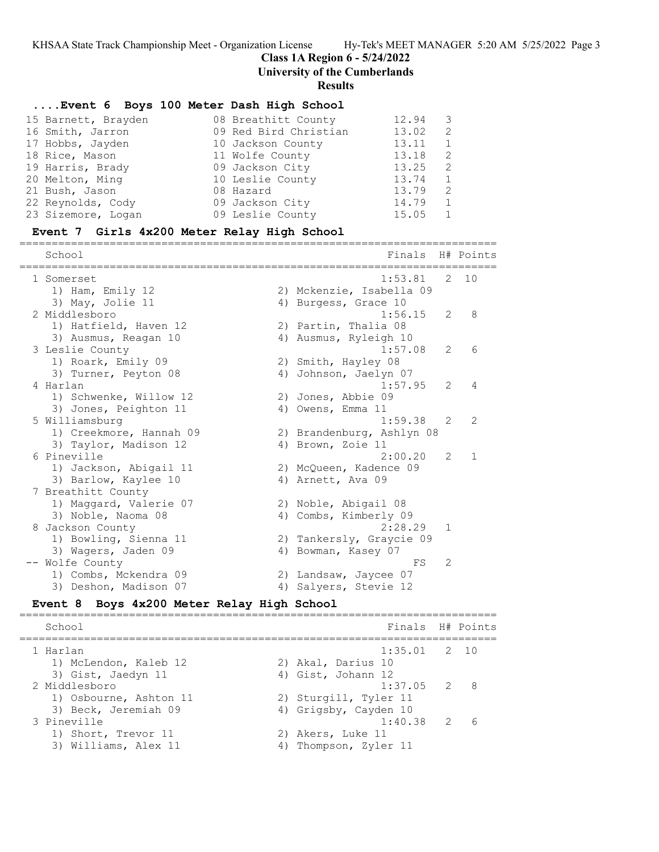**Class 1A Region 6 - 5/24/2022**

**University of the Cumberlands**

### **Results**

### **....Event 6 Boys 100 Meter Dash High School**

| 15 Barnett, Brayden | 08 Breathitt County   | 12.94<br>3             |  |
|---------------------|-----------------------|------------------------|--|
| 16 Smith, Jarron    | 09 Red Bird Christian | 13.02<br>2             |  |
| 17 Hobbs, Jayden    | 10 Jackson County     | 13.11                  |  |
| 18 Rice, Mason      | 11 Wolfe County       | 13.18<br>2             |  |
| 19 Harris, Brady    | 09 Jackson City       | 13.25<br>$\mathcal{L}$ |  |
| 20 Melton, Ming     | 10 Leslie County      | 13.74<br>$\mathbf{1}$  |  |
| 21 Bush, Jason      | 08 Hazard             | 13.79<br>$\mathcal{P}$ |  |
| 22 Reynolds, Cody   | 09 Jackson City       | 14.79                  |  |
| 23 Sizemore, Logan  | 09 Leslie County      | 15.05                  |  |

#### **Event 7 Girls 4x200 Meter Relay High School**

========================================================================== School **Finals** H# Points ========================================================================== 1 Somerset 1:53.81 2 10 1) Ham, Emily 12 2) Mckenzie, Isabella 09 3) May, Jolie 11 (4) Burgess, Grace 10 2 Middlesboro 1:56.15 2 8 1) Hatfield, Haven 12 2) Partin, Thalia 08 3) Ausmus, Reagan 10 4) Ausmus, Ryleigh 10 3 Leslie County 1:57.08 2 6 1) Roark, Emily 09 2) Smith, Hayley 08 3) Turner, Peyton 08 4) Johnson, Jaelyn 07 4 Harlan 1:57.95 2 4 1) Schwenke, Willow 12 2) Jones, Abbie 09 3) Jones, Peighton 11 4) Owens, Emma 11 5 Williamsburg 1:59.38 2 2 1) Creekmore, Hannah 09 2) Brandenburg, Ashlyn 08 3) Taylor, Madison 12  $\hskip1cm$  4) Brown, Zoie 11 6 Pineville 2:00.20 2 1 1) Jackson, Abigail 11 2) McQueen, Kadence 09 3) Barlow, Kaylee 10 4) Arnett, Ava 09 7 Breathitt County 1) Maggard, Valerie 07 120 Noble, Abigail 08 3) Noble, Naoma 08 4) Combs, Kimberly 09 8 Jackson County 2:28.29 1 1) Bowling, Sienna 11 2) Tankersly, Graycie 09 3) Wagers, Jaden 09 4) Bowman, Kasey 07 -- Wolfe County FS 2 1) Combs, Mckendra 09 2) Landsaw, Jaycee 07 3) Deshon, Madison 07 4) Salyers, Stevie 12

### **Event 8 Boys 4x200 Meter Relay High School**

========================================================================== School **Finals H**# Points ========================================================================== 1 Harlan 1:35.01 2 10 1) McLendon, Kaleb 12 (2) Akal, Darius 10 3) Gist, Jaedyn 11 (4) Gist, Johann 12 2 Middlesboro 1:37.05 2 8 1) Osbourne, Ashton 11 2) Sturgill, Tyler 11 3) Beck, Jeremiah 09 4) Grigsby, Cayden 10 3 Pineville 1:40.38 2 6 1) Short, Trevor 11 2) Akers, Luke 11 3) Williams, Alex 11 4) Thompson, Zyler 11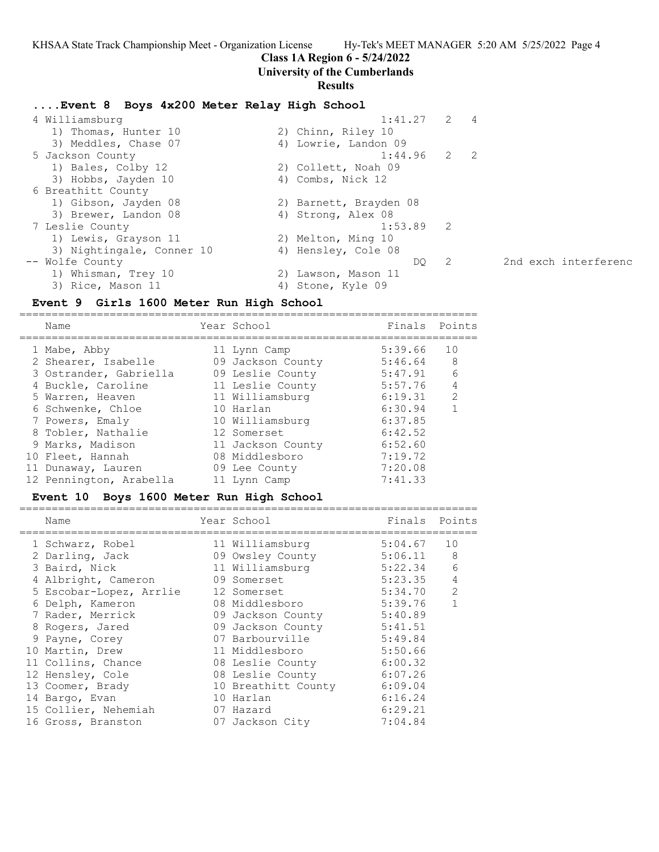### **Class 1A Region 6 - 5/24/2022**

### **University of the Cumberlands**

### **Results**

### **....Event 8 Boys 4x200 Meter Relay High School**

| 4 Williamsburg            | $1:41.27$ 2 4          |                            |                      |
|---------------------------|------------------------|----------------------------|----------------------|
| 1) Thomas, Hunter 10      | 2) Chinn, Riley 10     |                            |                      |
| 3) Meddles, Chase 07      | 4) Lowrie, Landon 09   |                            |                      |
| 5 Jackson County          | 1:44.96                | $2 \t 2$                   |                      |
| 1) Bales, Colby 12        | 2) Collett, Noah 09    |                            |                      |
| 3) Hobbs, Jayden 10       | 4) Combs, Nick 12      |                            |                      |
| 6 Breathitt County        |                        |                            |                      |
| 1) Gibson, Jayden 08      | 2) Barnett, Brayden 08 |                            |                      |
| 3) Brewer, Landon 08      | 4) Strong, Alex 08     |                            |                      |
| 7 Leslie County           | $1:53.89$ 2            |                            |                      |
| 1) Lewis, Grayson 11      | 2) Melton, Ming 10     |                            |                      |
| 3) Nightingale, Conner 10 | 4) Hensley, Cole 08    |                            |                      |
| -- Wolfe County           | DO                     | $\overline{\phantom{0}}^2$ | 2nd exch interferenc |
| 1) Whisman, Trey 10       | 2) Lawson, Mason 11    |                            |                      |
| 3) Rice, Mason 11         | 4) Stone, Kyle 09      |                            |                      |
|                           |                        |                            |                      |

### **Event 9 Girls 1600 Meter Run High School**

======================================================================= Name The Year School The Points Points Points ======================================================================= 1 Mabe, Abby 11 Lynn Camp 5:39.66 10 2 Shearer, Isabelle 09 Jackson County 5:46.64 8 3 Ostrander, Gabriella 09 Leslie County 5:47.91 6 4 Buckle, Caroline 11 Leslie County 5:57.76 4 5 Warren, Heaven 11 Williamsburg 6:19.31 2 6 Schwenke, Chloe 10 Harlan 6:30.94 1 7 Powers, Emaly 10 Williamsburg 6:37.85 8 Tobler, Nathalie 12 Somerset 6:42.52 9 Marks, Madison 11 Jackson County 6:52.60 10 Fleet, Hannah 08 Middlesboro 7:19.72 11 Dunaway, Lauren 09 Lee County 7:20.08 12 Pennington, Arabella 11 Lynn Camp 7:41.33

### **Event 10 Boys 1600 Meter Run High School**

| Name                    | Year School         | Finals  | Points         |
|-------------------------|---------------------|---------|----------------|
| 1 Schwarz, Robel        | 11 Williamsburg     | 5:04.67 | 10             |
| 2 Darling, Jack         | 09 Owsley County    | 5:06.11 | 8              |
| 3 Baird, Nick           | 11 Williamsburg     | 5:22.34 | 6              |
| 4 Albright, Cameron     | 09 Somerset         | 5:23.35 | 4              |
| 5 Escobar-Lopez, Arrlie | 12 Somerset         | 5:34.70 | $\mathfrak{D}$ |
| 6 Delph, Kameron        | 08 Middlesboro      | 5:39.76 |                |
| 7 Rader, Merrick        | 09 Jackson County   | 5:40.89 |                |
| 8 Rogers, Jared         | 09 Jackson County   | 5:41.51 |                |
| 9 Payne, Corey          | 07 Barbourville     | 5:49.84 |                |
| 10 Martin, Drew         | 11 Middlesboro      | 5:50.66 |                |
| 11 Collins, Chance      | 08 Leslie County    | 6:00.32 |                |
| 12 Hensley, Cole        | 08 Leslie County    | 6:07.26 |                |
| 13 Coomer, Brady        | 10 Breathitt County | 6:09.04 |                |
| 14 Bargo, Evan          | 10 Harlan           | 6:16.24 |                |
| 15 Collier, Nehemiah    | 07 Hazard           | 6:29.21 |                |
| 16 Gross, Branston      | 07 Jackson City     | 7:04.84 |                |
|                         |                     |         |                |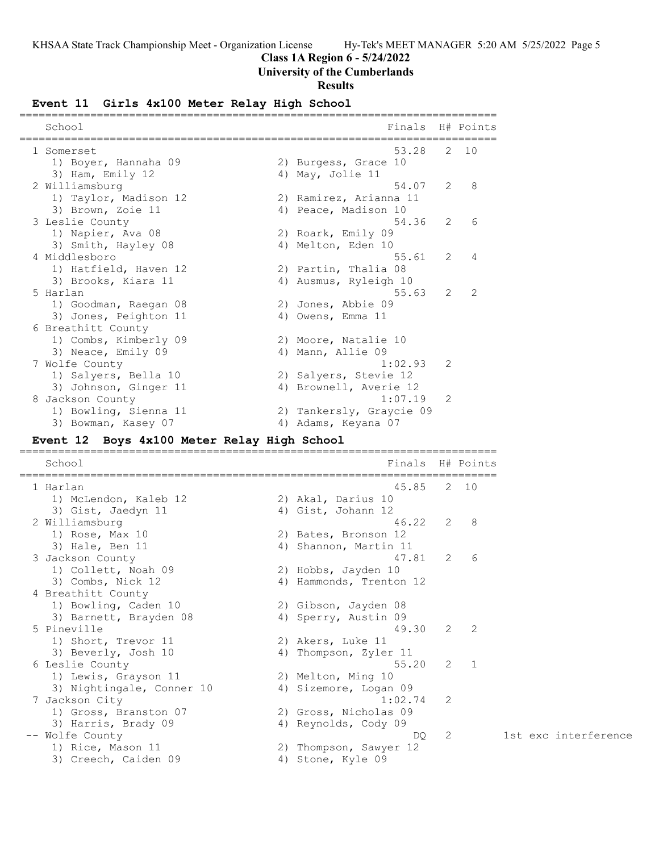# **Class 1A Region 6 - 5/24/2022**

# **University of the Cumberlands**

# **Results**

# **Event 11 Girls 4x100 Meter Relay High School**

| School                                      | Finals                    |   | H# Points   |
|---------------------------------------------|---------------------------|---|-------------|
|                                             |                           |   |             |
| 1 Somerset                                  | 53.28                     |   | 2 10        |
| 1) Boyer, Hannaha 09                        | 2) Burgess, Grace 10      |   |             |
| 3) Ham, Emily 12                            | 4) May, Jolie 11<br>54.07 | 2 | 8           |
| 2 Williamsburg<br>1) Taylor, Madison 12     | 2) Ramirez, Arianna 11    |   |             |
| 3) Brown, Zoie 11                           | 4) Peace, Madison 10      |   |             |
| 3 Leslie County                             | 54.36                     | 2 | 6           |
| 1) Napier, Ava 08                           | 2) Roark, Emily 09        |   |             |
| 3) Smith, Hayley 08                         | 4) Melton, Eden 10        |   |             |
| 4 Middlesboro                               | 55.61                     | 2 | 4           |
| 1) Hatfield, Haven 12                       | 2) Partin, Thalia 08      |   |             |
| 3) Brooks, Kiara 11                         | 4) Ausmus, Ryleigh 10     |   |             |
| 5 Harlan                                    | 55.63                     | 2 | 2           |
| 1) Goodman, Raegan 08                       | 2) Jones, Abbie 09        |   |             |
| 3) Jones, Peighton 11                       | 4) Owens, Emma 11         |   |             |
| 6 Breathitt County                          |                           |   |             |
| 1) Combs, Kimberly 09                       | 2) Moore, Natalie 10      |   |             |
| 3) Neace, Emily 09                          | 4) Mann, Allie 09         |   |             |
| 7 Wolfe County                              | 1:02.93                   | 2 |             |
| 1) Salyers, Bella 10                        | 2) Salyers, Stevie 12     |   |             |
| 3) Johnson, Ginger 11                       | 4) Brownell, Averie 12    |   |             |
| 8 Jackson County                            | 1:07.19                   | 2 |             |
| 1) Bowling, Sienna 11                       | 2) Tankersly, Graycie 09  |   |             |
| 3) Bowman, Kasey 07                         | 4) Adams, Keyana 07       |   |             |
| Event 12 Boys 4x100 Meter Relay High School |                           |   |             |
|                                             |                           |   |             |
|                                             |                           |   |             |
| School                                      | Finals                    |   | H# Points   |
| 1 Harlan                                    | 45.85                     | 2 | 10          |
| 1) McLendon, Kaleb 12                       | 2) Akal, Darius 10        |   |             |
| 3) Gist, Jaedyn 11                          | 4) Gist, Johann 12        |   |             |
| 2 Williamsburg                              | 46.22                     | 2 | 8           |
| 1) Rose, Max 10                             | 2) Bates, Bronson 12      |   |             |
| 3) Hale, Ben 11                             | 4) Shannon, Martin 11     |   |             |
| 3 Jackson County                            | 47.81                     | 2 | 6           |
| 1) Collett, Noah 09                         | 2) Hobbs, Jayden 10       |   |             |
| 3) Combs, Nick 12                           | 4) Hammonds, Trenton 12   |   |             |
| 4 Breathitt County                          |                           |   |             |
| 1) Bowling, Caden 10                        | 2) Gibson, Jayden 08      |   |             |
| 3) Barnett, Brayden 08                      | 4) Sperry, Austin 09      |   |             |
| 5 Pineville                                 | 49.30                     | 2 | 2           |
| 1) Short, Trevor 11                         | 2) Akers, Luke 11         |   |             |
| 3) Beverly, Josh 10                         | 4) Thompson, Zyler 11     |   |             |
| 6 Leslie County                             | 55.20                     | 2 | $\mathbf 1$ |
| 1) Lewis, Grayson 11                        | 2) Melton, Ming 10        |   |             |
| 3) Nightingale, Conner 10                   | 4) Sizemore, Logan 09     |   |             |
| 7 Jackson City                              | 1:02.74                   | 2 |             |
| 1) Gross, Branston 07                       | 2) Gross, Nicholas 09     |   |             |
| 3) Harris, Brady 09                         | 4) Reynolds, Cody 09      |   |             |
| -- Wolfe County                             | DQ                        | 2 |             |
| 1) Rice, Mason 11                           | 2) Thompson, Sawyer 12    |   |             |
| 3) Creech, Caiden 09                        | 4) Stone, Kyle 09         |   |             |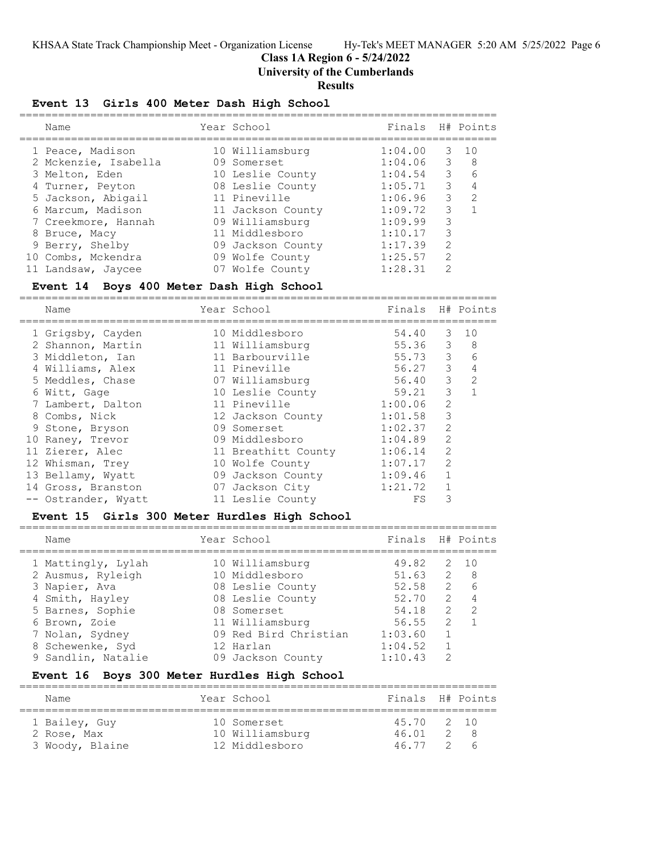# **Class 1A Region 6 - 5/24/2022**

**University of the Cumberlands**

### **Results**

### **Event 13 Girls 400 Meter Dash High School**

| Name                 |                  |                                                                                                                                                                                                                            |               |                       |
|----------------------|------------------|----------------------------------------------------------------------------------------------------------------------------------------------------------------------------------------------------------------------------|---------------|-----------------------|
|                      |                  | 1:04.00                                                                                                                                                                                                                    | 3             | 10                    |
| 2 Mckenzie, Isabella |                  | 1:04.06                                                                                                                                                                                                                    |               | 8                     |
| 3 Melton, Eden       |                  | 1:04.54                                                                                                                                                                                                                    | 3             | 6                     |
| 4 Turner, Peyton     |                  | 1:05.71                                                                                                                                                                                                                    | 3             |                       |
| 5 Jackson, Abigail   |                  | 1:06.96                                                                                                                                                                                                                    | 3             | $\mathcal{L}$         |
| 6 Marcum, Madison    |                  | 1:09.72                                                                                                                                                                                                                    | 3             |                       |
| 7 Creekmore, Hannah  |                  | 1:09.99                                                                                                                                                                                                                    | 3             |                       |
| 8 Bruce, Macy        |                  | 1:10.17                                                                                                                                                                                                                    | 3             |                       |
| 9 Berry, Shelby      |                  | 1:17.39                                                                                                                                                                                                                    | $\mathcal{L}$ |                       |
| 10 Combs, Mckendra   |                  | 1:25.57                                                                                                                                                                                                                    | $\mathcal{L}$ |                       |
| 11 Landsaw, Jaycee   |                  | 1:28.31                                                                                                                                                                                                                    | $\mathcal{P}$ |                       |
|                      | 1 Peace, Madison | Year School<br>10 Williamsburg<br>09 Somerset<br>10 Leslie County<br>08 Leslie County<br>11 Pineville<br>11 Jackson County<br>09 Williamsburg<br>11 Middlesboro<br>09 Jackson County<br>09 Wolfe County<br>07 Wolfe County |               | Finals H# Points<br>3 |

#### **Event 14 Boys 400 Meter Dash High School**

==========================================================================

| Name                | Year School         | Finals  |                | H# Points |
|---------------------|---------------------|---------|----------------|-----------|
| 1 Grigsby, Cayden   | 10 Middlesboro      | 54.40   | 3              | 10        |
| 2 Shannon, Martin   | 11 Williamsburg     | 55.36   | 3              | 8         |
| 3 Middleton, Ian    | 11 Barbourville     | 55.73   | 3              | 6         |
| 4 Williams, Alex    | 11 Pineville        | 56.27   | 3              | 4         |
| 5 Meddles, Chase    | 07 Williamsburg     | 56.40   | 3              | 2         |
| 6 Witt, Gage        | 10 Leslie County    | 59.21   | 3              |           |
| 7 Lambert, Dalton   | 11 Pineville        | 1:00.06 | $\overline{2}$ |           |
| 8 Combs, Nick       | 12 Jackson County   | 1:01.58 | 3              |           |
| 9 Stone, Bryson     | 09 Somerset         | 1:02.37 | 2              |           |
| 10 Raney, Trevor    | 09 Middlesboro      | 1:04.89 | 2              |           |
| 11 Zierer, Alec     | 11 Breathitt County | 1:06.14 | $\mathcal{L}$  |           |
| 12 Whisman, Trey    | 10 Wolfe County     | 1:07.17 | $\mathcal{L}$  |           |
| 13 Bellamy, Wyatt   | 09 Jackson County   | 1:09.46 | 1              |           |
| 14 Gross, Branston  | 07 Jackson City     | 1:21.72 | 1              |           |
| -- Ostrander, Wyatt | 11 Leslie County    | FS      | 3              |           |

### **Event 15 Girls 300 Meter Hurdles High School**

========================================================================== Name Year School Finals H# Points ========================================================================== 1 Mattingly, Lylah 10 Williamsburg 49.82 2 10 2 Ausmus, Ryleigh 10 Middlesboro 51.63 2 8 3 Napier, Ava 08 Leslie County 52.58 2 6 4 Smith, Hayley 08 Leslie County 52.70 2 4 5 Barnes, Sophie 08 Somerset 54.18 2 2 6 Brown, Zoie 11 Williamsburg 56.55 2 1 7 Nolan, Sydney 09 Red Bird Christian 1:03.60 1 8 Schewenke, Syd 12 Harlan 1:04.52 1 9 Sandlin, Natalie 09 Jackson County 1:10.43 2

### **Event 16 Boys 300 Meter Hurdles High School**

========================================================================== Name The Year School Team Points H# Points ========================================================================== 1 Bailey, Guy 10 Somerset 45.70 2 10 2 Rose, Max 10 Williamsburg 46.01 2 8 3 Woody, Blaine 12 Middlesboro 46.77 2 6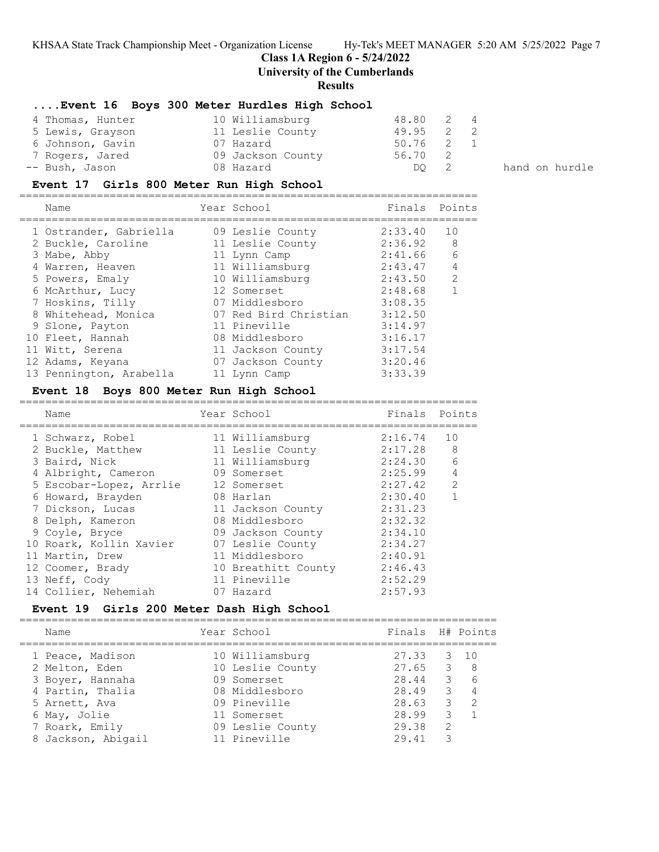# **Class 1A Region 6 - 5/24/2022**

**University of the Cumberlands**

### **Results**

# **....Event 16 Boys 300 Meter Hurdles High School**

| 4 Thomas, Hunter | 10 Williamsburg   | 48.80 2 4 |  |
|------------------|-------------------|-----------|--|
| 5 Lewis, Grayson | 11 Leslie County  | 49.95 2 2 |  |
| 6 Johnson, Gavin | 07 Hazard         | 50.76 2 1 |  |
| 7 Rogers, Jared  | 09 Jackson County | 56.70 2   |  |
| -- Bush, Jason   | 08 Hazard         | DO 2      |  |

hand on hurdle

# **Event 17 Girls 800 Meter Run High School**

| Name                    | Year School           | Finals Points |                |
|-------------------------|-----------------------|---------------|----------------|
| 1 Ostrander, Gabriella  | 09 Leslie County      | 2:33.40       | 10             |
| 2 Buckle, Caroline      | 11 Leslie County      | 2:36.92       | 8              |
| 3 Mabe, Abby            | 11 Lynn Camp          | 2:41.66       | 6              |
| 4 Warren, Heaven        | 11 Williamsburg       | 2:43.47       | $\overline{4}$ |
| 5 Powers, Emaly         | 10 Williamsburg       | 2:43.50       | 2              |
| 6 McArthur, Lucy        | 12 Somerset           | 2:48.68       |                |
| 7 Hoskins, Tilly        | 07 Middlesboro        | 3:08.35       |                |
| 8 Whitehead, Monica     | 07 Red Bird Christian | 3:12.50       |                |
| 9 Slone, Payton         | 11 Pineville          | 3:14.97       |                |
| 10 Fleet, Hannah        | 08 Middlesboro        | 3:16.17       |                |
| 11 Witt, Serena         | 11 Jackson County     | 3:17.54       |                |
| 12 Adams, Keyana        | 07 Jackson County     | 3:20.46       |                |
| 13 Pennington, Arabella | 11 Lynn Camp          | 3:33.39       |                |
|                         |                       |               |                |

### **Event 18 Boys 800 Meter Run High School**

| Name                    | Year School         | Finals Points |                |
|-------------------------|---------------------|---------------|----------------|
| 1 Schwarz, Robel        | 11 Williamsburg     | 2:16.74       | 10             |
| 2 Buckle, Matthew       | 11 Leslie County    | 2:17.28       | 8              |
| 3 Baird, Nick           | 11 Williamsburg     | 2:24.30       | 6              |
| 4 Albright, Cameron     | 09 Somerset         | 2:25.99       | $\overline{4}$ |
| 5 Escobar-Lopez, Arrlie | 12 Somerset         | 2:27.42       | $\mathcal{L}$  |
| 6 Howard, Brayden       | 08 Harlan           | 2:30.40       |                |
| 7 Dickson, Lucas        | 11 Jackson County   | 2:31.23       |                |
| 8 Delph, Kameron        | 08 Middlesboro      | 2:32.32       |                |
| 9 Coyle, Bryce          | 09 Jackson County   | 2:34.10       |                |
| 10 Roark, Kollin Xavier | 07 Leslie County    | 2:34.27       |                |
| 11 Martin, Drew         | 11 Middlesboro      | 2:40.91       |                |
| 12 Coomer, Brady        | 10 Breathitt County | 2:46.43       |                |
| 13 Neff, Cody           | 11 Pineville        | 2:52.29       |                |
| 14 Collier, Nehemiah    | 07 Hazard           | 2:57.93       |                |

# **Event 19 Girls 200 Meter Dash High School**

| Name                                                                                        | Year School                                                                          | Finals H# Points                                |                                                         |                                              |
|---------------------------------------------------------------------------------------------|--------------------------------------------------------------------------------------|-------------------------------------------------|---------------------------------------------------------|----------------------------------------------|
| 1 Peace, Madison<br>2 Melton, Eden<br>3 Boyer, Hannaha<br>4 Partin, Thalia<br>5 Arnett, Ava | 10 Williamsburg<br>10 Leslie County<br>09 Somerset<br>08 Middlesboro<br>09 Pineville | 27.33<br>$27.65$ 3 8<br>28.44<br>28.49<br>28.63 | $\overline{\mathbf{3}}$<br>$\overline{\mathbf{3}}$<br>3 | 3 10<br>6<br>$\overline{4}$<br>$\mathcal{P}$ |
| 6 May, Jolie<br>7 Roark, Emily<br>8 Jackson, Abigail                                        | 11 Somerset<br>09 Leslie County<br>11 Pineville                                      | 28.99<br>29.38<br>29.41                         | 3<br>2<br>3                                             |                                              |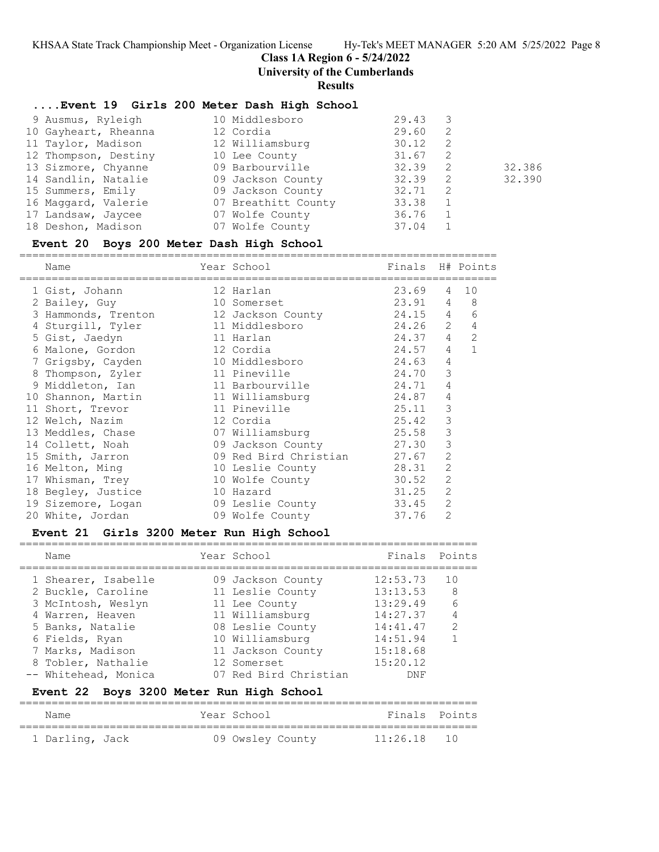# **Class 1A Region 6 - 5/24/2022**

**University of the Cumberlands**

**Results**

# **....Event 19 Girls 200 Meter Dash High School**

| 9 Ausmus, Ryleigh    | 10 Middlesboro      | 29.43       |        |
|----------------------|---------------------|-------------|--------|
| 10 Gayheart, Rheanna | 12 Cordia           | 29.60<br>-2 |        |
| 11 Taylor, Madison   | 12 Williamsburg     | 30.12<br>-2 |        |
| 12 Thompson, Destiny | 10 Lee County       | 31.67<br>2  |        |
| 13 Sizmore, Chyanne  | 09 Barbourville     | 32.39<br>-2 | 32.386 |
| 14 Sandlin, Natalie  | 09 Jackson County   | 32.39<br>-2 | 32.390 |
| 15 Summers, Emily    | 09 Jackson County   | 32.71<br>-2 |        |
| 16 Maggard, Valerie  | 07 Breathitt County | 33.38       |        |
| 17 Landsaw, Jaycee   | 07 Wolfe County     | 36.76       |        |
| 18 Deshon, Madison   | 07 Wolfe County     | 37.04       |        |

# **Event 20 Boys 200 Meter Dash High School**

==========================================================================

| Name                | Year School<br>------------- | Finals    |                 | H# Points      |
|---------------------|------------------------------|-----------|-----------------|----------------|
| 1 Gist, Johann      | 12 Harlan                    | 23.69     | 4               | 10             |
| 2 Bailey, Guy       | 10 Somerset                  | 23.91 4 8 |                 |                |
| 3 Hammonds, Trenton | 12 Jackson County            | 24.15 4   |                 | 6              |
| 4 Sturgill, Tyler   | 11 Middlesboro               | 24.26 2   |                 | $\overline{4}$ |
| 5 Gist, Jaedyn      | 11 Harlan                    | 24.37     | $4\overline{ }$ | 2              |
| 6 Malone, Gordon    | 12 Cordia                    | 24.57     | $\overline{4}$  | $\mathbf{1}$   |
| 7 Grigsby, Cayden   | 10 Middlesboro               | 24.63     | 4               |                |
| 8 Thompson, Zyler   | 11 Pineville                 | 24.70     | 3               |                |
| 9 Middleton, Ian    | 11 Barbourville              | 24.71     | 4               |                |
| 10 Shannon, Martin  | 11 Williamsburg              | 24.87     | 4               |                |
| 11 Short, Trevor    | 11 Pineville                 | 25.11     | 3               |                |
| 12 Welch, Nazim     | 12 Cordia                    | 25.42     | 3               |                |
| 13 Meddles, Chase   | 07 Williamsburg              | 25.58     | 3               |                |
| 14 Collett, Noah    | 09 Jackson County 27.30      |           | 3               |                |
| 15 Smith, Jarron    | 09 Red Bird Christian        | 27.67     | $\overline{2}$  |                |
| 16 Melton, Ming     | 10 Leslie County             | 28.31     | $\overline{2}$  |                |
| 17 Whisman, Trey    | 10 Wolfe County 30.52        |           | $\overline{c}$  |                |
| 18 Begley, Justice  | 10 Hazard                    | 31.25     | $\overline{2}$  |                |
| 19 Sizemore, Logan  | 09 Leslie County             | 33.45     | 2               |                |
| 20 White, Jordan    | 09 Wolfe County              | 37.76     | $\overline{2}$  |                |

# **Event 21 Girls 3200 Meter Run High School**

=======================================================================

| Name                 | Year School           | Finals Points |               |
|----------------------|-----------------------|---------------|---------------|
| 1 Shearer, Isabelle  | 09 Jackson County     | 12:53.73      | 1 O           |
| 2 Buckle, Caroline   | 11 Leslie County      | 13:13.53      | -8            |
| 3 McIntosh, Weslyn   | 11 Lee County         | 13:29.49      | 6             |
| 4 Warren, Heaven     | 11 Williamsburg       | 14:27.37      | 4             |
| 5 Banks, Natalie     | 08 Leslie County      | 14:41.47      | $\mathcal{P}$ |
| 6 Fields, Ryan       | 10 Williamsburg       | 14:51.94      |               |
| 7 Marks, Madison     | 11 Jackson County     | 15:18.68      |               |
| 8 Tobler, Nathalie   | 12 Somerset           | 15:20.12      |               |
| -- Whitehead, Monica | 07 Red Bird Christian | DNF           |               |

# **Event 22 Boys 3200 Meter Run High School**

| Name            | Year School      | Finals Points |  |
|-----------------|------------------|---------------|--|
| 1 Darling, Jack | 09 Owsley County | $11:26.18$ 10 |  |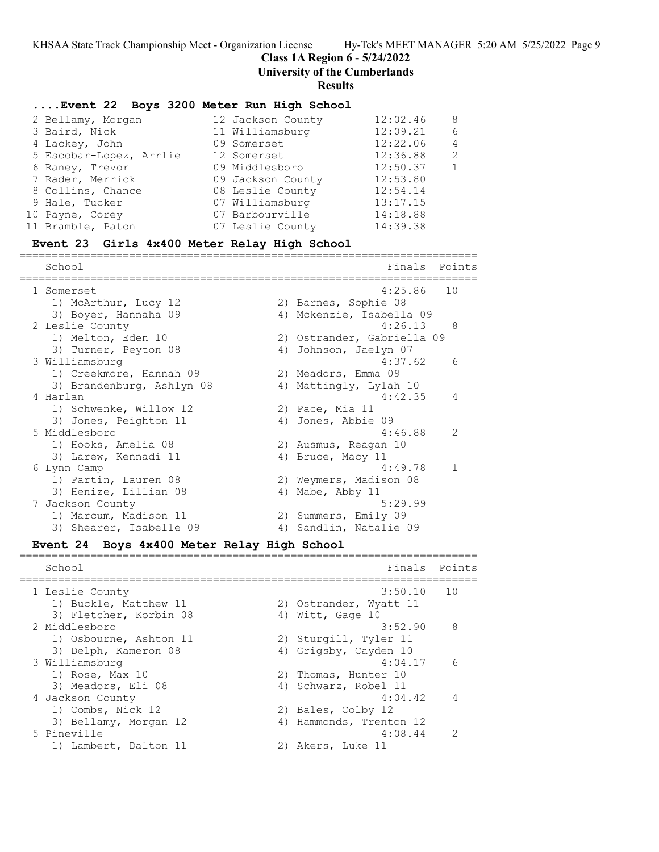**Class 1A Region 6 - 5/24/2022**

**University of the Cumberlands**

**Results**

### **....Event 22 Boys 3200 Meter Run High School**

|                         |                   | 12:02.46                                                                                                                                                                                | -8             |
|-------------------------|-------------------|-----------------------------------------------------------------------------------------------------------------------------------------------------------------------------------------|----------------|
| 3 Baird, Nick           |                   | 12:09.21                                                                                                                                                                                | 6              |
| 4 Lackey, John          |                   | 12:22.06                                                                                                                                                                                | $\overline{4}$ |
| 5 Escobar-Lopez, Arrlie |                   | 12:36.88                                                                                                                                                                                | $\mathcal{L}$  |
| 6 Raney, Trevor         |                   | 12:50.37                                                                                                                                                                                |                |
| 7 Rader, Merrick        |                   | 12:53.80                                                                                                                                                                                |                |
| 8 Collins, Chance       |                   | 12:54.14                                                                                                                                                                                |                |
| 9 Hale, Tucker          |                   | 13:17.15                                                                                                                                                                                |                |
| 10 Payne, Corey         |                   | 14:18.88                                                                                                                                                                                |                |
| 11 Bramble, Paton       |                   | 14:39.38                                                                                                                                                                                |                |
|                         | 2 Bellamy, Morgan | 12 Jackson County<br>11 Williamsburg<br>09 Somerset<br>12 Somerset<br>09 Middlesboro<br>09 Jackson County<br>08 Leslie County<br>07 Williamsburg<br>07 Barbourville<br>07 Leslie County |                |

=======================================================================

# **Event 23 Girls 4x400 Meter Relay High School**

| School                    |    | Finals                     | Points        |
|---------------------------|----|----------------------------|---------------|
| 1 Somerset                |    | $4:25.86$ 10               |               |
| 1) McArthur, Lucy 12      |    | 2) Barnes, Sophie 08       |               |
| 3) Boyer, Hannaha 09      |    | 4) Mckenzie, Isabella 09   |               |
| 2 Leslie County           |    | 4:26.13                    | 8             |
| 1) Melton, Eden 10        |    | 2) Ostrander, Gabriella 09 |               |
| 3) Turner, Peyton 08      |    | 4) Johnson, Jaelyn 07      |               |
| 3 Williamsburg            |    | 4:37.62                    | 6             |
| 1) Creekmore, Hannah 09   |    | 2) Meadors, Emma 09        |               |
| 3) Brandenburg, Ashlyn 08 |    | 4) Mattingly, Lylah 10     |               |
| 4 Harlan                  |    | 4:42.35                    | 4             |
| 1) Schwenke, Willow 12    |    | 2) Pace, Mia 11            |               |
| 3) Jones, Peighton 11     |    | 4) Jones, Abbie 09         |               |
| 5 Middlesboro             |    | 4:46.88                    | $\mathcal{L}$ |
| 1) Hooks, Amelia 08       |    | 2) Ausmus, Reagan 10       |               |
| 3) Larew, Kennadi 11      |    | 4) Bruce, Macy 11          |               |
| 6 Lynn Camp               |    | 4:49.78                    |               |
| 1) Partin, Lauren 08      |    | 2) Weymers, Madison 08     |               |
| 3) Henize, Lillian 08     |    | 4) Mabe, Abby 11           |               |
| 7 Jackson County          |    | 5:29.99                    |               |
| 1) Marcum, Madison 11     |    | 2) Summers, Emily 09       |               |
| 3) Shearer, Isabelle 09   | 4) | Sandlin, Natalie 09        |               |
|                           |    |                            |               |

#### **Event 24 Boys 4x400 Meter Relay High School** =======================================================================

School **Finals** Points ======================================================================= 1 Leslie County 1) Buckle, Matthew 11 2) Ostrander, Wyatt 11 3) Fletcher, Korbin 08 (4) Witt, Gage 10 2 Middlesboro 3:52.90 8 1) Osbourne, Ashton 11 2) Sturgill, Tyler 11 3) Delph, Kameron 08 4) Grigsby, Cayden 10 3 Williamsburg 4:04.17 6 1) Rose, Max 10 2) Thomas, Hunter 10 3) Meadors, Eli 08 4) Schwarz, Robel 11 4 Jackson County 4:04.42 4 1) Combs, Nick 12 2) Bales, Colby 12 3) Bellamy, Morgan 12 4) Hammonds, Trenton 12 5 Pineville 4:08.44 2 1) Lambert, Dalton 11 2) Akers, Luke 11